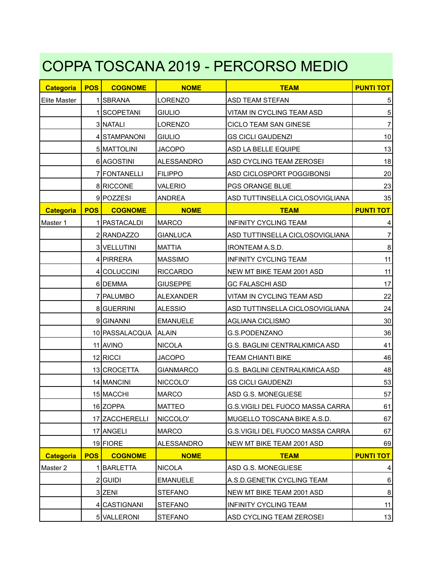## COPPA TOSCANA 2019 - PERCORSO MEDIO

| <b>Categoria</b> | <b>POS</b> | <b>COGNOME</b> | <b>NOME</b>       | <b>TEAM</b>                      | <b>PUNTI TOT</b> |
|------------------|------------|----------------|-------------------|----------------------------------|------------------|
| Elite Master     |            | 1 SBRANA       | <b>LORENZO</b>    | ASD TEAM STEFAN                  | 5                |
|                  |            | 1 SCOPETANI    | <b>GIULIO</b>     | VITAM IN CYCLING TEAM ASD        | $\mathbf 5$      |
|                  |            | 3 NATALI       | LORENZO           | CICLO TEAM SAN GINESE            | $\overline{7}$   |
|                  |            | 4 STAMPANONI   | <b>GIULIO</b>     | <b>GS CICLI GAUDENZI</b>         | 10               |
|                  |            | 5 MATTOLINI    | <b>JACOPO</b>     | ASD LA BELLE EQUIPE              | 13               |
|                  |            | 6 AGOSTINI     | <b>ALESSANDRO</b> | ASD CYCLING TEAM ZEROSEI         | 18               |
|                  |            | 7 FONTANELLI   | <b>FILIPPO</b>    | ASD CICLOSPORT POGGIBONSI        | 20               |
|                  |            | 8 RICCONE      | <b>VALERIO</b>    | PGS ORANGE BLUE                  | 23               |
|                  |            | 9 POZZESI      | ANDREA            | ASD TUTTINSELLA CICLOSOVIGLIANA  | 35               |
| <b>Categoria</b> | <b>POS</b> | <b>COGNOME</b> | <b>NOME</b>       | <b>TEAM</b>                      | <b>PUNTI TOT</b> |
| Master 1         |            | 1   PASTACALDI | <b>MARCO</b>      | <b>INFINITY CYCLING TEAM</b>     |                  |
|                  |            | 2 RANDAZZO     | <b>GIANLUCA</b>   | ASD TUTTINSELLA CICLOSOVIGLIANA  | $\overline{7}$   |
|                  |            | 3 VELLUTINI    | <b>MATTIA</b>     | <b>IRONTEAM A.S.D.</b>           | $\bf 8$          |
|                  |            | 4 PIRRERA      | <b>MASSIMO</b>    | <b>INFINITY CYCLING TEAM</b>     | 11               |
|                  |            | 4 COLUCCINI    | <b>RICCARDO</b>   | NEW MT BIKE TEAM 2001 ASD        | 11               |
|                  |            | 6 DEMMA        | <b>GIUSEPPE</b>   | <b>GC FALASCHI ASD</b>           | 17               |
|                  |            | 7 PALUMBO      | <b>ALEXANDER</b>  | VITAM IN CYCLING TEAM ASD        | 22               |
|                  |            | 8 GUERRINI     | <b>ALESSIO</b>    | ASD TUTTINSELLA CICLOSOVIGLIANA  | 24               |
|                  |            | 9GINANNI       | <b>EMANUELE</b>   | <b>AGLIANA CICLISMO</b>          | 30               |
|                  |            | 10 PASSALACQUA | <b>ALAIN</b>      | G.S.PODENZANO                    | 36               |
|                  |            | 11 AVINO       | <b>NICOLA</b>     | G.S. BAGLINI CENTRALKIMICA ASD   | 41               |
|                  |            | 12 RICCI       | <b>JACOPO</b>     | <b>TEAM CHIANTI BIKE</b>         | 46               |
|                  |            | 13 CROCETTA    | <b>GIANMARCO</b>  | G.S. BAGLINI CENTRALKIMICA ASD   | 48               |
|                  |            | 14 MANCINI     | NICCOLO'          | <b>GS CICLI GAUDENZI</b>         | 53               |
|                  |            | 15 MACCHI      | <b>MARCO</b>      | ASD G.S. MONEGLIESE              | 57               |
|                  |            | 16 ZOPPA       | <b>MATTEO</b>     | G.S.VIGILI DEL FUOCO MASSA CARRA | 61               |
|                  |            | 17 ZACCHERELLI | NICCOLO'          | MUGELLO TOSCANA BIKE A.S.D.      | 67               |
|                  |            | 17 ANGELI      | <b>MARCO</b>      | G.S.VIGILI DEL FUOCO MASSA CARRA | 67               |
|                  |            | 19 FIORE       | ALESSANDRO        | NEW MT BIKE TEAM 2001 ASD        | 69               |
| <b>Categoria</b> | <b>POS</b> | <b>COGNOME</b> | <b>NOME</b>       | <b>TEAM</b>                      | <b>PUNTI TOT</b> |
| Master 2         |            | 1 BARLETTA     | <b>NICOLA</b>     | ASD G.S. MONEGLIESE              | 4                |
|                  |            | 2 GUIDI        | <b>EMANUELE</b>   | A.S.D.GENETIK CYCLING TEAM       | 6                |
|                  |            | 3 ZENI         | <b>STEFANO</b>    | NEW MT BIKE TEAM 2001 ASD        | $\bf 8$          |
|                  |            | 4 CASTIGNANI   | STEFANO           | <b>INFINITY CYCLING TEAM</b>     | 11               |
|                  |            | 5 VALLERONI    | <b>STEFANO</b>    | ASD CYCLING TEAM ZEROSEI         | 13               |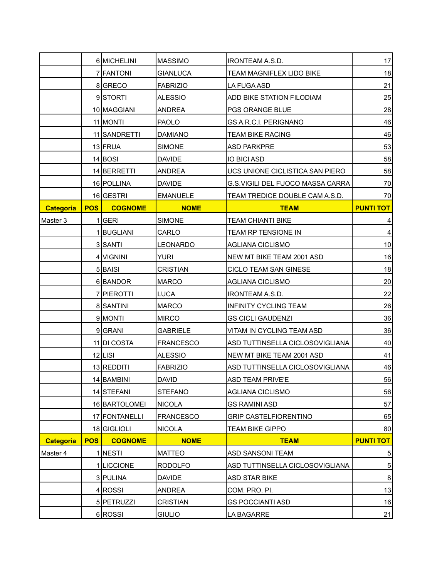|                  |            | 6 MICHELINI    | <b>MASSIMO</b>   | IRONTEAM A.S.D.                  | 17               |
|------------------|------------|----------------|------------------|----------------------------------|------------------|
|                  |            | 7 FANTONI      | <b>GIANLUCA</b>  | TEAM MAGNIFLEX LIDO BIKE         | 18               |
|                  |            | 8GRECO         | <b>FABRIZIO</b>  | LA FUGA ASD                      | 21               |
|                  |            | 9STORTI        | <b>ALESSIO</b>   | ADD BIKE STATION FILODIAM        | 25               |
|                  |            | 10 MAGGIANI    | ANDREA           | PGS ORANGE BLUE                  | 28               |
|                  |            | 11 MONTI       | <b>PAOLO</b>     | GS A.R.C.I. PERIGNANO            | 46               |
|                  |            | 11 SANDRETTI   | <b>DAMIANO</b>   | <b>TEAM BIKE RACING</b>          | 46               |
|                  |            | 13 FRUA        | <b>SIMONE</b>    | <b>ASD PARKPRE</b>               | 53               |
|                  |            | 14 BOSI        | <b>DAVIDE</b>    | <b>IO BICI ASD</b>               | 58               |
|                  |            | 14 BERRETTI    | ANDREA           | UCS UNIONE CICLISTICA SAN PIERO  | 58               |
|                  |            | 16 POLLINA     | <b>DAVIDE</b>    | G.S.VIGILI DEL FUOCO MASSA CARRA | 70               |
|                  |            | 16 GESTRI      | <b>EMANUELE</b>  | TEAM TREDICE DOUBLE CAM A.S.D.   | 70               |
| <b>Categoria</b> | <b>POS</b> | <b>COGNOME</b> | <b>NOME</b>      | <b>TEAM</b>                      | <b>PUNTI TOT</b> |
| Master 3         |            | 1 GERI         | <b>SIMONE</b>    | <b>TEAM CHIANTI BIKE</b>         |                  |
|                  |            | 1 BUGLIANI     | CARLO            | TEAM RP TENSIONE IN              | 4                |
|                  |            | 3 SANTI        | <b>LEONARDO</b>  | <b>AGLIANA CICLISMO</b>          | 10               |
|                  |            | 4 VIGNINI      | <b>YURI</b>      | NEW MT BIKE TEAM 2001 ASD        | 16               |
|                  |            | 5 BAISI        | <b>CRISTIAN</b>  | CICLO TEAM SAN GINESE            | 18               |
|                  |            | 6BANDOR        | <b>MARCO</b>     | <b>AGLIANA CICLISMO</b>          | 20               |
|                  |            | 7 PIEROTTI     | <b>LUCA</b>      | IRONTEAM A.S.D.                  | 22               |
|                  |            | 8 SANTINI      | <b>MARCO</b>     | <b>INFINITY CYCLING TEAM</b>     | 26               |
|                  |            | 9 MONTI        | <b>MIRCO</b>     | <b>GS CICLI GAUDENZI</b>         | 36               |
|                  |            | 9 GRANI        | <b>GABRIELE</b>  | VITAM IN CYCLING TEAM ASD        | 36               |
|                  |            | 11 DI COSTA    | <b>FRANCESCO</b> | ASD TUTTINSELLA CICLOSOVIGLIANA  | 40               |
|                  |            | $12$  LISI     | <b>ALESSIO</b>   | NEW MT BIKE TEAM 2001 ASD        | 41               |
|                  |            | 13 REDDITI     | <b>FABRIZIO</b>  | ASD TUTTINSELLA CICLOSOVIGLIANA  | 46               |
|                  |            | 14 BAMBINI     | <b>DAVID</b>     | ASD TEAM PRIVE'E                 | 56               |
|                  |            | 14 STEFANI     | <b>STEFANO</b>   | <b>AGLIANA CICLISMO</b>          | 56               |
|                  |            | 16 BARTOLOMEI  | <b>NICOLA</b>    | GS RAMINI ASD                    | 57               |
|                  |            | 17 FONTANELLI  | <b>FRANCESCO</b> | <b>GRIP CASTELFIORENTINO</b>     | 65               |
|                  |            | 18 GIGLIOLI    | <b>NICOLA</b>    | <b>TEAM BIKE GIPPO</b>           | 80               |
| <b>Categoria</b> | <b>POS</b> | <b>COGNOME</b> | <b>NOME</b>      | <b>TEAM</b>                      | <b>PUNTI TOT</b> |
| Master 4         |            | 1 NESTI        | <b>MATTEO</b>    | <b>ASD SANSONI TEAM</b>          | 5                |
|                  |            | 1 LICCIONE     | <b>RODOLFO</b>   | ASD TUTTINSELLA CICLOSOVIGLIANA  | $\sqrt{5}$       |
|                  |            | 3 PULINA       | <b>DAVIDE</b>    | ASD STAR BIKE                    | $\bf 8$          |
|                  |            | 4 ROSSI        | ANDREA           | COM. PRO. PI.                    | 13               |
|                  |            | 5 PETRUZZI     | <b>CRISTIAN</b>  | <b>GS POCCIANTI ASD</b>          | 16               |
|                  |            | 6 ROSSI        | <b>GIULIO</b>    | LA BAGARRE                       | 21               |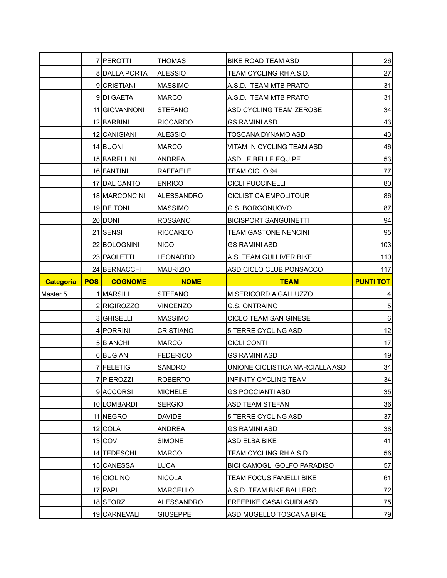|                  |            | 7 PEROTTI      | <b>THOMAS</b>    | BIKE ROAD TEAM ASD                 | 26               |
|------------------|------------|----------------|------------------|------------------------------------|------------------|
|                  |            | 8 DALLA PORTA  | <b>ALESSIO</b>   | TEAM CYCLING RH A.S.D.             | 27               |
|                  |            | 9 CRISTIANI    | <b>MASSIMO</b>   | A.S.D. TEAM MTB PRATO              | 31               |
|                  |            | 9DI GAETA      | <b>MARCO</b>     | A.S.D. TEAM MTB PRATO              | 31               |
|                  |            | 11 GIOVANNONI  | <b>STEFANO</b>   | ASD CYCLING TEAM ZEROSEI           | 34               |
|                  |            | 12 BARBINI     | <b>RICCARDO</b>  | <b>GS RAMINI ASD</b>               | 43               |
|                  |            | 12 CANIGIANI   | <b>ALESSIO</b>   | TOSCANA DYNAMO ASD                 | 43               |
|                  |            | 14 BUONI       | <b>MARCO</b>     | VITAM IN CYCLING TEAM ASD          | 46               |
|                  |            | 15 BARELLINI   | <b>ANDREA</b>    | ASD LE BELLE EQUIPE                | 53               |
|                  |            | 16 FANTINI     | <b>RAFFAELE</b>  | TEAM CICLO 94                      | 77               |
|                  |            | 17 DAL CANTO   | <b>ENRICO</b>    | <b>CICLI PUCCINELLI</b>            | 80               |
|                  |            | 18 MARCONCINI  | ALESSANDRO       | CICLISTICA EMPOLITOUR              | 86               |
|                  |            | 19 DE TONI     | <b>MASSIMO</b>   | G.S. BORGONUOVO                    | 87               |
|                  |            | 20 DONI        | <b>ROSSANO</b>   | <b>BICISPORT SANGUINETTI</b>       | 94               |
|                  |            | 21 SENSI       | <b>RICCARDO</b>  | TEAM GASTONE NENCINI               | 95               |
|                  |            | 22 BOLOGNINI   | <b>NICO</b>      | <b>GS RAMINI ASD</b>               | 103              |
|                  |            | 23 PAOLETTI    | <b>LEONARDO</b>  | A.S. TEAM GULLIVER BIKE            | 110              |
|                  |            | 24 BERNACCHI   | <b>MAURIZIO</b>  | ASD CICLO CLUB PONSACCO            | 117              |
| <b>Categoria</b> | <b>POS</b> | <b>COGNOME</b> | <b>NOME</b>      | <b>TEAM</b>                        | <b>PUNTI TOT</b> |
| Master 5         |            | 1 MARSILI      | <b>STEFANO</b>   | MISERICORDIA GALLUZZO              | 4                |
|                  |            |                |                  |                                    |                  |
|                  |            | 2 RIGIROZZO    | <b>VINCENZO</b>  | G.S. ONTRAINO                      | $\sqrt{5}$       |
|                  |            | 3 GHISELLI     | <b>MASSIMO</b>   | CICLO TEAM SAN GINESE              | $6\phantom{1}$   |
|                  |            | 4 PORRINI      | <b>CRISTIANO</b> | 5 TERRE CYCLING ASD                | 12               |
|                  |            | 5 BIANCHI      | <b>MARCO</b>     | <b>CICLI CONTI</b>                 | 17               |
|                  |            | 6 BUGIANI      | <b>FEDERICO</b>  | <b>GS RAMINI ASD</b>               | 19               |
|                  |            | 7 FELETIG      | SANDRO           | UNIONE CICLISTICA MARCIALLA ASD    | 34               |
|                  |            | 7 PIEROZZI     | <b>ROBERTO</b>   | INFINITY CYCLING TEAM              | 34               |
|                  |            | 9 ACCORSI      | <b>MICHELE</b>   | <b>GS POCCIANTI ASD</b>            | 35               |
|                  |            | 10 LOMBARDI    | <b>SERGIO</b>    | ASD TEAM STEFAN                    | 36               |
|                  |            | 11 NEGRO       | <b>DAVIDE</b>    | 5 TERRE CYCLING ASD                | 37               |
|                  |            | $12$ COLA      | ANDREA           | GS RAMINI ASD                      | 38               |
|                  |            | 13 COVI        | <b>SIMONE</b>    | <b>ASD ELBA BIKE</b>               | 41               |
|                  |            | 14 TEDESCHI    | <b>MARCO</b>     | TEAM CYCLING RH A.S.D.             | 56               |
|                  |            | 15 CANESSA     | LUCA             | <b>BICI CAMOGLI GOLFO PARADISO</b> | 57               |
|                  |            | 16 CIOLINO     | <b>NICOLA</b>    | TEAM FOCUS FANELLI BIKE            | 61               |
|                  |            | 17 PAPI        | <b>MARCELLO</b>  | A.S.D. TEAM BIKE BALLERO           | 72               |
|                  |            | 18 SFORZI      | ALESSANDRO       | FREEBIKE CASALGUIDI ASD            | 75               |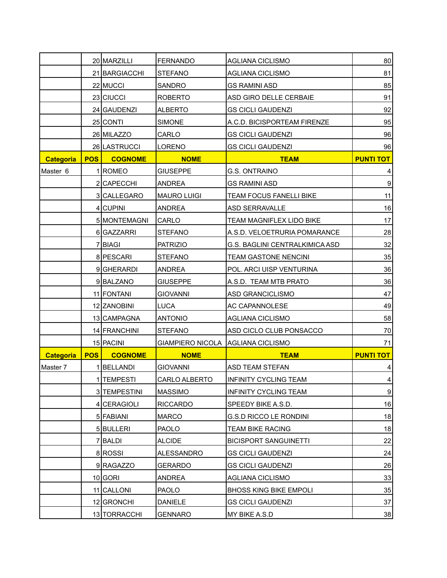|                  |            | 20 MARZILLI    | <b>FERNANDO</b>                   | <b>AGLIANA CICLISMO</b>         | 80               |
|------------------|------------|----------------|-----------------------------------|---------------------------------|------------------|
|                  |            | 21 BARGIACCHI  | <b>STEFANO</b>                    | <b>AGLIANA CICLISMO</b>         | 81               |
|                  |            | 22 MUCCI       | SANDRO                            | <b>GS RAMINI ASD</b>            | 85               |
|                  |            | 23 CIUCCI      | <b>ROBERTO</b>                    | ASD GIRO DELLE CERBAIE          | 91               |
|                  |            | 24 GAUDENZI    | <b>ALBERTO</b>                    | <b>GS CICLI GAUDENZI</b>        | 92               |
|                  |            | 25 CONTI       | <b>SIMONE</b>                     | A.C.D. BICISPORTEAM FIRENZE     | 95               |
|                  |            | 26 MILAZZO     | CARLO                             | <b>GS CICLI GAUDENZI</b>        | 96               |
|                  |            | 26 LASTRUCCI   | LORENO                            | <b>GS CICLI GAUDENZI</b>        | 96               |
| <b>Categoria</b> | <b>POS</b> | <b>COGNOME</b> | <b>NOME</b>                       | <b>TEAM</b>                     | <b>PUNTI TOT</b> |
| Master 6         |            | 1 ROMEO        | <b>GIUSEPPE</b>                   | G.S. ONTRAINO                   |                  |
|                  |            | 2 CAPECCHI     | <b>ANDREA</b>                     | <b>GS RAMINI ASD</b>            | $\boldsymbol{9}$ |
|                  |            | 3 CALLEGARO    | <b>MAURO LUIGI</b>                | TEAM FOCUS FANELLI BIKE         | 11               |
|                  |            | 4 CUPINI       | <b>ANDREA</b>                     | <b>ASD SERRAVALLE</b>           | 16               |
|                  |            | 5 MONTEMAGNI   | CARLO                             | <b>TEAM MAGNIFLEX LIDO BIKE</b> | 17               |
|                  |            | 6 GAZZARRI     | STEFANO                           | A.S.D. VELOETRURIA POMARANCE    | 28               |
|                  |            | 7 BIAGI        | <b>PATRIZIO</b>                   | G.S. BAGLINI CENTRALKIMICA ASD  | 32               |
|                  |            | 8 PESCARI      | <b>STEFANO</b>                    | <b>TEAM GASTONE NENCINI</b>     | 35               |
|                  |            | 9 GHERARDI     | <b>ANDREA</b>                     | POL. ARCI UISP VENTURINA        | 36               |
|                  |            | 9BALZANO       | <b>GIUSEPPE</b>                   | A.S.D. TEAM MTB PRATO           | 36               |
|                  |            | 11 FONTANI     | <b>GIOVANNI</b>                   | ASD GRANCICLISMO                | 47               |
|                  |            | 12 ZANOBINI    | <b>LUCA</b>                       | AC CAPANNOLESE                  | 49               |
|                  |            | 13 CAMPAGNA    | <b>ANTONIO</b>                    | AGLIANA CICLISMO                | 58               |
|                  |            | 14 FRANCHINI   | <b>STEFANO</b>                    | ASD CICLO CLUB PONSACCO         | 70               |
|                  |            | 15 PACINI      | GIAMPIERO NICOLA AGLIANA CICLISMO |                                 | 71               |
| <b>Categoria</b> | <b>POS</b> | <b>COGNOME</b> | <b>NOME</b>                       | <b>TEAM</b>                     | <b>PUNTI TOT</b> |
| Master 7         |            | BELLANDI       | <b>GIOVANNI</b>                   | <b>ASD TEAM STEFAN</b>          | 4                |
|                  |            | 1 TEMPESTI     | CARLO ALBERTO                     | INFINITY CYCLING TEAM           |                  |
|                  |            | 3 TEMPESTINI   | <b>MASSIMO</b>                    | <b>INFINITY CYCLING TEAM</b>    | $\boldsymbol{9}$ |
|                  |            | 4 CERAGIOLI    | <b>RICCARDO</b>                   | SPEEDY BIKE A.S.D.              | 16               |
|                  |            | 5 FABIANI      | <b>MARCO</b>                      | <b>G.S.D RICCO LE RONDINI</b>   | 18               |
|                  |            | 5BULLERI       | <b>PAOLO</b>                      | <b>TEAM BIKE RACING</b>         | 18               |
|                  |            | 7 BALDI        | <b>ALCIDE</b>                     | <b>BICISPORT SANGUINETTI</b>    | 22               |
|                  |            | 8 ROSSI        | <b>ALESSANDRO</b>                 | <b>GS CICLI GAUDENZI</b>        | 24               |
|                  |            | 9RAGAZZO       | GERARDO                           | <b>GS CICLI GAUDENZI</b>        | 26               |
|                  |            | 10 GORI        | ANDREA                            | AGLIANA CICLISMO                | 33               |
|                  |            | 11 CALLONI     | <b>PAOLO</b>                      | <b>BHOSS KING BIKE EMPOLI</b>   | 35               |
|                  |            | 12 GRONCHI     | DANIELE                           | <b>GS CICLI GAUDENZI</b>        | 37               |
|                  |            | 13 TORRACCHI   | <b>GENNARO</b>                    | MY BIKE A.S.D                   | 38               |